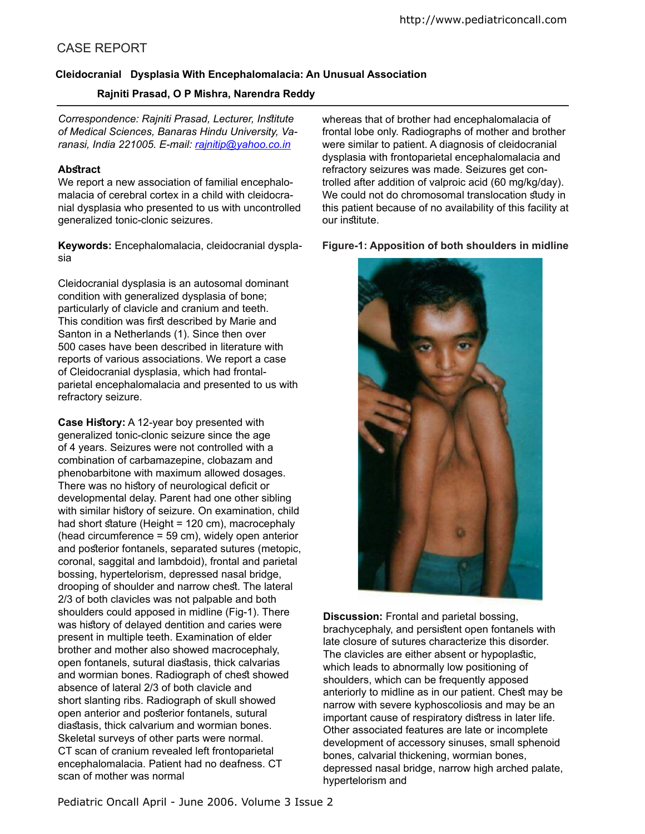# CASE REPORT

## **Cleidocranial Dysplasia With Encephalomalacia: An Unusual Association**

## **Rajniti Prasad, O P Mishra, Narendra Reddy**

*Correspondence: Rajniti Prasad, Lecturer, Intitute of Medical Sciences, Banaras Hindu University, Varanasi, India 221005. E-mail: rajnitip@yahoo.co.in*

#### **Abstract**

We report a new association of familial encephalomalacia of cerebral cortex in a child with cleidocranial dysplasia who presented to us with uncontrolled generalized tonic-clonic seizures.

**Keywords:** Encephalomalacia, cleidocranial dysplasia

Cleidocranial dysplasia is an autosomal dominant condition with generalized dysplasia of bone; particularly of clavicle and cranium and teeth. This condition was first described by Marie and Santon in a Netherlands (1). Since then over 500 cases have been described in literature with reports of various associations. We report a case of Cleidocranial dysplasia, which had frontalparietal encephalomalacia and presented to us with refractory seizure.

**Case History:** A 12-year boy presented with generalized tonic-clonic seizure since the age of 4 years. Seizures were not controlled with a combination of carbamazepine, clobazam and phenobarbitone with maximum allowed dosages. There was no history of neurological deficit or developmental delay. Parent had one other sibling with similar history of seizure. On examination, child had short stature (Height = 120 cm), macrocephaly (head circumference = 59 cm), widely open anterior and posterior fontanels, separated sutures (metopic, coronal, saggital and lambdoid), frontal and parietal bossing, hypertelorism, depressed nasal bridge, drooping of shoulder and narrow chest. The lateral 2/3 of both clavicles was not palpable and both shoulders could apposed in midline (Fig-1). There was history of delayed dentition and caries were present in multiple teeth. Examination of elder brother and mother also showed macrocephaly, open fontanels, sutural diastasis, thick calvarias and wormian bones. Radiograph of chest showed absence of lateral 2/3 of both clavicle and short slanting ribs. Radiograph of skull showed open anterior and posterior fontanels, sutural diastasis, thick calvarium and wormian bones. Skeletal surveys of other parts were normal. CT scan of cranium revealed left frontoparietal encephalomalacia. Patient had no deafness. CT scan of mother was normal

whereas that of brother had encephalomalacia of frontal lobe only. Radiographs of mother and brother were similar to patient. A diagnosis of cleidocranial dysplasia with frontoparietal encephalomalacia and refractory seizures was made. Seizures get controlled after addition of valproic acid (60 mg/kg/day). We could not do chromosomal translocation study in this patient because of no availability of this facility at our institute.

**Figure-1: Apposition of both shoulders in midline**



**Discussion:** Frontal and parietal bossing, brachycephaly, and persistent open fontanels with late closure of sutures characterize this disorder. The clavicles are either absent or hypoplastic, which leads to abnormally low positioning of shoulders, which can be frequently apposed anteriorly to midline as in our patient. Chest may be narrow with severe kyphoscoliosis and may be an important cause of respiratory distress in later life. Other associated features are late or incomplete development of accessory sinuses, small sphenoid bones, calvarial thickening, wormian bones, depressed nasal bridge, narrow high arched palate, hypertelorism and